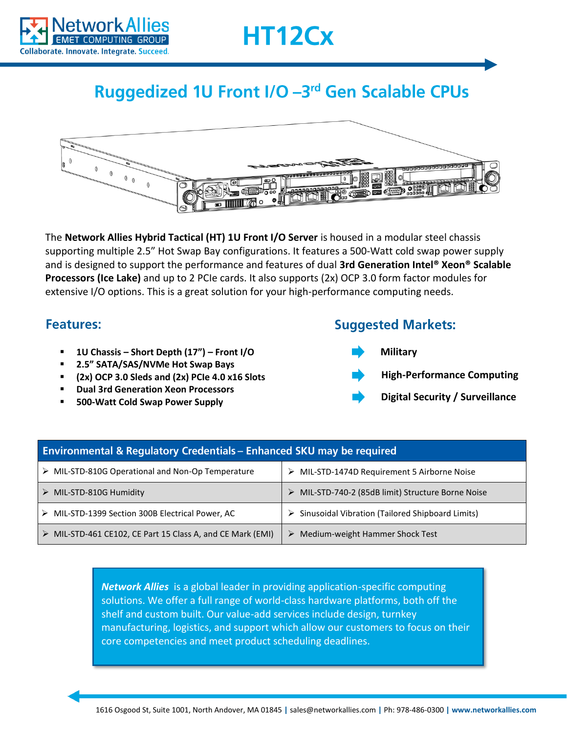



## Ruggedized 1U Front I/O -3rd Gen Scalable CPUs



The **Network Allies Hybrid Tactical (HT) 1U Front I/O Server** is housed in a modular steel chassis supporting multiple 2.5" Hot Swap Bay configurations. It features a 500-Watt cold swap power supply and is designed to support the performance and features of dual **3rd Generation Intel® Xeon® Scalable Processors (Ice Lake)** and up to 2 PCIe cards. It also supports (2x) OCP 3.0 form factor modules for extensive I/O options. This is a great solution for your high-performance computing needs.

## **Features:**

- **1U Chassis – Short Depth (17") – Front I/O**
- **2.5" SATA/SAS/NVMe Hot Swap Bays**
- **(2x) OCP 3.0 Sleds and (2x) PCIe 4.0 x16 Slots**
- **Dual 3rd Generation Xeon Processors**
- **500-Watt Cold Swap Power Supply**

## **Suggested Markets:**



**Digital Security / Surveillance**

| <b>Environmental &amp; Regulatory Credentials – Enhanced SKU may be required</b> |                                                    |
|----------------------------------------------------------------------------------|----------------------------------------------------|
| $\triangleright$ MIL-STD-810G Operational and Non-Op Temperature                 | > MIL-STD-1474D Requirement 5 Airborne Noise       |
| $\triangleright$ MIL-STD-810G Humidity                                           | > MIL-STD-740-2 (85dB limit) Structure Borne Noise |
| > MIL-STD-1399 Section 300B Electrical Power, AC                                 | > Sinusoidal Vibration (Tailored Shipboard Limits) |
| > MIL-STD-461 CE102, CE Part 15 Class A, and CE Mark (EMI)                       | Medium-weight Hammer Shock Test<br>➤               |

*Network Allies* is a global leader in providing application-specific computing solutions. We offer a full range of world-class hardware platforms, both off the shelf and custom built. Our value-add services include design, turnkey manufacturing, logistics, and support which allow our customers to focus on their core competencies and meet product scheduling deadlines.